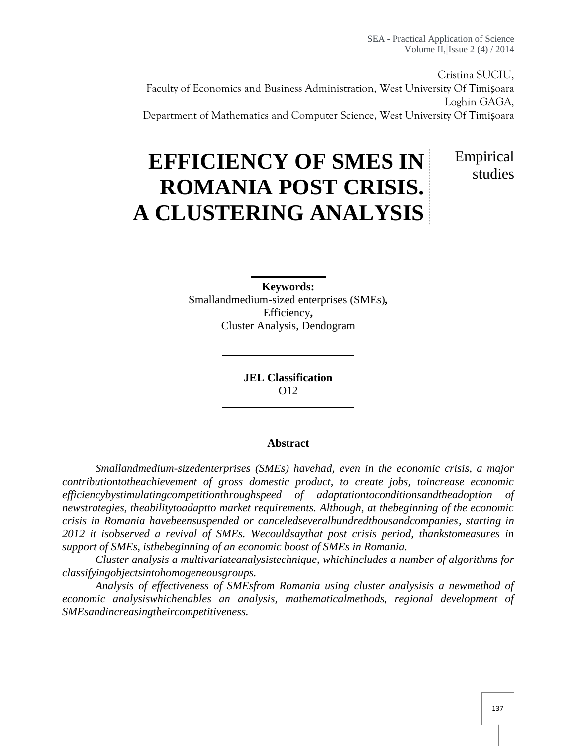SEA - Practical Application of Science Volume II, Issue 2 (4) / 2014

Cristina SUCIU, Faculty of Economics and Business Administration, West University Of Timi oara Loghin GAGA, Department of Mathematics and Computer Science, West University Of Timi oara

# **EFFICIENCY OF SMES IN ROMANIA POST CRISIS. A CLUSTERING ANALYSIS**

Empirical studies

**Keywords:** Smallandmedium-sized enterprises (SMEs)**,** Efficiency**,** Cluster Analysis, Dendogram

> **JEL Classification** O12

#### **Abstract**

*Smallandmedium-sizedenterprises (SMEs) havehad, even in the economic crisis, a major contributiontotheachievement of gross domestic product, to create jobs, toincrease economic efficiencybystimulatingcompetitionthroughspeed of adaptationtoconditionsandtheadoption of newstrategies, theabilitytoadaptto market requirements. Although, at thebeginning of the economic crisis in Romania havebeensuspended or canceledseveralhundredthousandcompanies, starting in 2012 it isobserved a revival of SMEs. Wecouldsaythat post crisis period, thankstomeasures in support of SMEs, isthebeginning of an economic boost of SMEs in Romania.*

*Cluster analysis a multivariateanalysistechnique, whichincludes a number of algorithms for classifyingobjectsintohomogeneousgroups.*

*Analysis of effectiveness of SMEsfrom Romania using cluster analysisis a newmethod of economic analysiswhichenables an analysis, mathematicalmethods, regional development of SMEsandincreasingtheircompetitiveness.*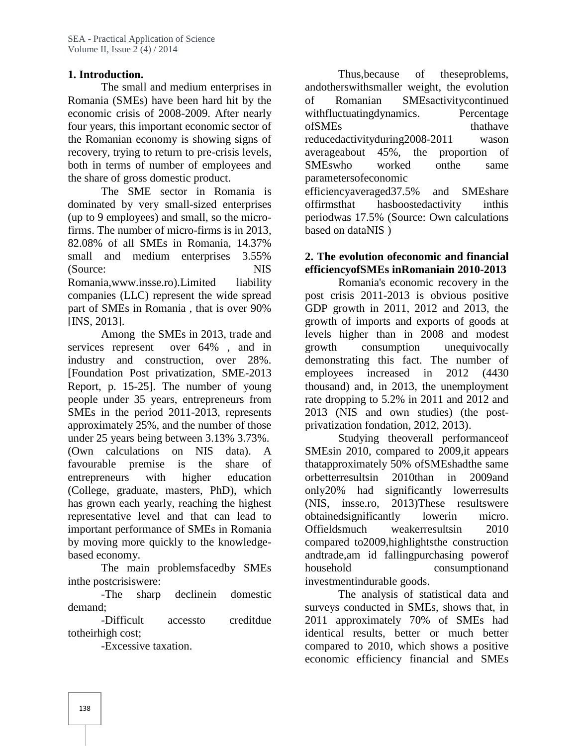# **1. Introduction.**

The small and medium enterprises in Romania (SMEs) have been hard hit by the economic crisis of 2008-2009. After nearly four years, this important economic sector of the Romanian economy is showing signs of recovery, trying to return to pre-crisis levels, both in terms of number of employees and the share of gross domestic product.

The SME sector in Romania is dominated by very small-sized enterprises (up to 9 employees) and small, so the microfirms. The number of micro-firms is in 2013, 82.08% of all SMEs in Romania, 14.37% small and medium enterprises 3.55% (Source: NIS Romania,www.insse.ro).Limited liability companies (LLC) represent the wide spread part of SMEs in Romania , that is over 90% [INS, 2013].

Among the SMEs in 2013, trade and services represent over  $64\%$ , and in growth industry and construction, over 28%. [Foundation Post privatization, SME-2013 Report, p. 15-25]. The number of young people under 35 years, entrepreneurs from SMEs in the period 2011-2013, represents approximately 25%, and the number of those under 25 years being between 3.13% 3.73%. (Own calculations on NIS data). A favourable premise is the share of entrepreneurs with higher education orbetterresultsin (College, graduate, masters, PhD), which has grown each yearly, reaching the highest representative level and that can lead to important performance of SMEs in Romania by moving more quickly to the knowledge based economy.

The main problemsfacedby SMEs inthe postcrisiswere:

-The sharp declinein domestic

demand;<br>-Difficult accessto creditdue 2 totheirhigh cost;

-Excessive taxation.

Thus,because of theseproblems, andotherswithsmaller weight, the evolution Romanian SMEsactivitycontinued withfluctuatingdynamics. Percentage of SMEs that have that have reducedactivityduring2008-2011 wason averageabout 45%, the proportion of SMEswho worked onthe same parametersofeconomic efficiencyaveraged37.5% and SMEshare offirmsthat hasboostedactivity inthis periodwas 17.5% (Source: Own calculations based on dataNIS )

## **2. The evolution ofeconomic and financial efficiencyofSMEs inRomaniain 2010-2013**

Romania's economic recovery in the post crisis 2011-2013 is obvious positive GDP growth in 2011, 2012 and 2013, the growth of imports and exports of goods at levels higher than in 2008 and modest consumption unequivocally demonstrating this fact. The number of increased in  $2012$   $(4430)$ thousand) and, in 2013, the unemployment rate dropping to 5.2% in 2011 and 2012 and 2013 (NIS and own studies) (the post privatization fondation, 2012, 2013).

Studying theoverall performanceof SMEsin 2010, compared to 2009,it appears thatapproximately 50% ofSMEshadthe same 2010than in 2009and only20% had significantly lowerresults (NIS, insse.ro, 2013)These resultswere obtainedsignificantly lowerin micro. weakerresultsin 2010 compared to2009,highlightsthe construction andtrade,am id fallingpurchasing powerof household consumptionand investmentindurable goods.

The analysis of statistical data and surveys conducted in SMEs, shows that, in 2011 approximately 70% of SMEs had identical results, better or much better compared to 2010, which shows a positive economic efficiency financial and SMEs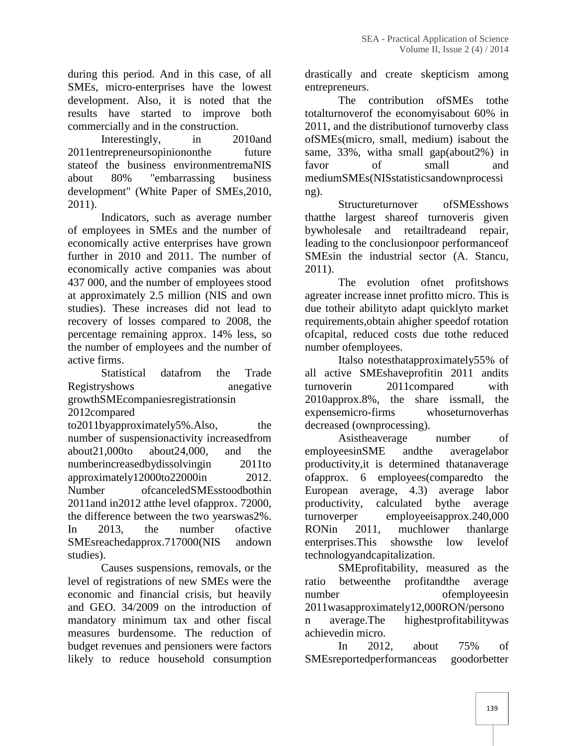during this period. And in this case, of all SMEs, micro-enterprises have the lowest development. Also, it is noted that the results have started to improve both commercially and in the construction.

Interestingly, in 2010and 2011entrepreneursopiniononthe future stateof the business environmentremaNIS about 80% "embarrassing business development" (White Paper of SMEs,2010, 2011).

Indicators, such as average number of employees in SMEs and the number of economically active enterprises have grown further in 2010 and 2011. The number of economically active companies was about 437 000, and the number of employees stood at approximately 2.5 million (NIS and own studies). These increases did not lead to recovery of losses compared to 2008, the percentage remaining approx. 14% less, so the number of employees and the number of active firms.

Statistical datafrom the Trade Registryshows anegative turnover in growthSMEcompaniesregistrationsin

2012compared

to2011byapproximately5%.Also, the number of suspensionactivity increasedfrom about21,000to about24,000, and the numberincreasedbydissolvingin 2011to approximately12000to22000in 2012. Number ofcanceledSMEsstoodbothin 2011and in2012 atthe level ofapprox. 72000, the difference between the two yearswas2%. In 2013, the number of active RONin SMEsreachedapprox.717000(NIS andown studies).<br>Causes suspensions, removals, or the

level of registrations of new SMEs were the economic and financial crisis, but heavily and GEO. 34/2009 on the introduction of mandatory minimum tax and other fiscal measures burdensome. The reduction of budget revenues and pensioners were factors likely to reduce household consumption

drastically and create skepticism among entrepreneurs.

The contribution ofSMEs tothe totalturnoverof the economyisabout 60% in 2011, and the distributionof turnoverby class ofSMEs(micro, small, medium) isabout the same, 33%, witha small gap(about2%) in favor of small and mediumSMEs(NISstatisticsandownprocessi ng).

Structureturnover ofSMEsshows thatthe largest shareof turnoveris given bywholesale and retailtradeand repair, leading to the conclusionpoor performanceof SMEsin the industrial sector (A. Stancu, 2011).

The evolution ofnet profitshows agreater increase innet profitto micro. This is due totheir abilityto adapt quicklyto market requirements,obtain ahigher speedof rotation ofcapital, reduced costs due tothe reduced number ofemployees.

Italso notesthatapproximately55% of all active SMEshaveprofitin 2011 andits 2011compared with 2010approx.8%, the share issmall, the expensemicro-firms whoseturnoverhas decreased (ownprocessing).

Asistheaverage number of employeesinSME andthe averagelabor productivity,it is determined thatanaverage ofapprox. 6 employees(comparedto the European average, 4.3) average labor productivity, calculated bythe average turnoverper employeeisapprox.240,000 2011, muchlower thanlarge enterprises.This showsthe low levelof technologyandcapitalization.

SMEprofitability, measured as the betweenthe profitandthe average ofemployeesin 2011wasapproximately12,000RON/persono n average.The highestprofitabilitywas achievedin micro.

In 2012, about 75% of SMEsreportedperformanceas goodorbetter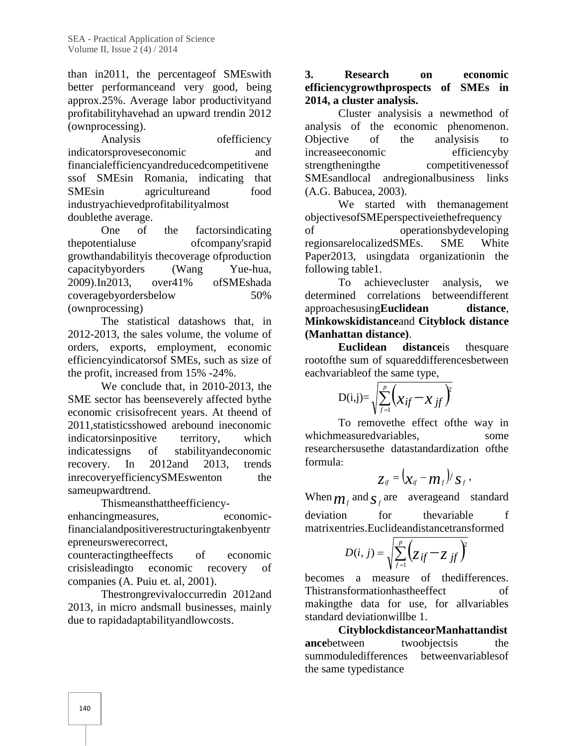than in2011, the percentageof SMEswith better performanceand very good, being approx.25%. Average labor productivityand profitabilityhavehad an upward trendin 2012 (ownprocessing).

Analysis ofefficiency indicatorsproveseconomic and financialefficiencyandreducedcompetitivene ssof SMEsin Romania, indicating that SMEsin agricultureand food industryachievedprofitabilityalmost doublethe average.

One of the factorsindicating thepotentialuse ofcompany'srapid growthandabilityis thecoverage ofproduction capacitybyorders (Wang Yue-hua, 2009).In2013, over41% ofSMEshada coveragebyordersbelow 50% (ownprocessing)

The statistical datashows that, in 2012-2013, the sales volume, the volume of orders, exports, employment, economic efficiencyindicatorsof SMEs, such as size of the profit, increased from 15% -24%.

We conclude that, in 2010-2013, the SME sector has beenseverely affected bythe economic crisisofrecent years. At theend of 2011,statisticsshowed arebound ineconomic indicatorsinpositive territory, which indicatessigns of stabilityandeconomic recovery. In 2012and 2013, trends inrecoveryefficiencySMEswenton the sameupwardtrend.

Thismeansthattheefficiency enhancingmeasures, economicfinancialandpositiverestructuringtakenbyentr epreneurswerecorrect,

counteractingtheeffects of economic crisisleadingto economic recovery of companies (A. Puiu et. al, 2001).

Thestrongrevivaloccurredin 2012and 2013, in micro andsmall businesses, mainly due to rapidadaptabilityandlowcosts.

# **3. Research on economic efficiencygrowthprospects of SMEs in 2014, a cluster analysis.**

Cluster analysisis a newmethod of analysis of the economic phenomenon. Objective of the analysisis to increaseeconomic efficiencyby competitivenessof SMEsandlocal andregionalbusiness links (A.G. Babucea, 2003).

We started with themanagement objectivesofSMEperspectiveiethefrequency operationsbydeveloping regionsarelocalizedSMEs. SME White Paper2013, usingdata organizationin the following table1.

To achievecluster analysis, we determined correlations betweendifferent approachesusing**Euclidean distance**, **Minkowskidistance**and **Cityblock distance (Manhattan distance)**.

**Euclidean** distanceis the square rootofthe sum of squareddifferencesbetween eachvariableof the same type,

$$
\mathrm{D(i,j)}\mathrm{=}\sqrt{\sum_{f=1}^{p}\!\left(\mathcal{X}_{\textit{if}}\!-\!\mathcal{X}_{\textit{.\textit{if}}}\right)^{\hspace{-2.1mm}p}}\!
$$

To removethe effect ofthe way in whichmeasuredvariables, some some researchersusethe datastandardization ofthe formula:

$$
z_{\scriptscriptstyle i\!f} = (\mathbf{x}_{\scriptscriptstyle i\!f} - \mathbf{m}_{\scriptscriptstyle f})/s_{\scriptscriptstyle f} \,,
$$

When  $m_f$  and  $S_f$  are averageand standard deviation for thevariable f matrixentries.Euclideandistancetransformed

$$
D(i, j) = \sqrt{\sum_{f=1}^{p} \left(z_{if} - z_{jf}\right)^{2}}
$$

becomes a measure of thedifferences. Thistransformationhastheeffect of makingthe data for use, for allvariables standard deviationwillbe 1.

**CityblockdistanceorManhattandist ance**between twoobjects is the summoduledifferences betweenvariablesof the same typedistance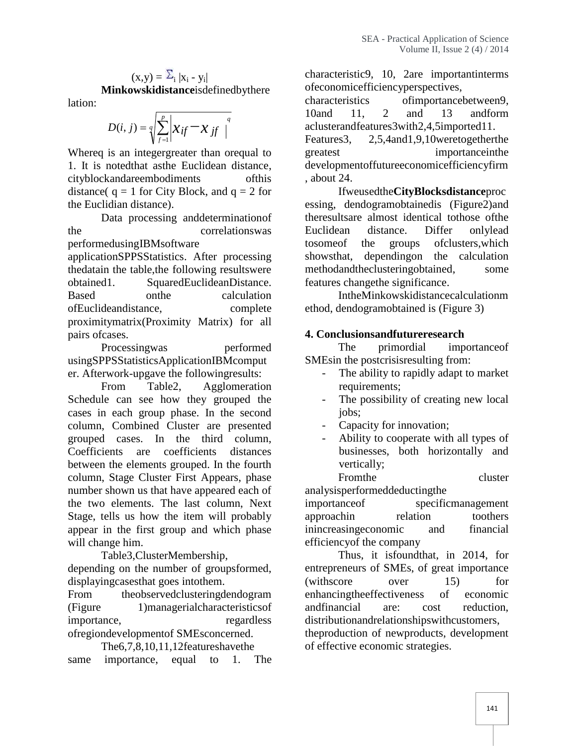$$
(\mathbf{x}, \mathbf{y}) = \sum_{i} |\mathbf{x}_i - \mathbf{y}_i|
$$
  
 **Minkowskidistance** is defined by there  
tion:

lati

$$
D(i, j) = \sqrt[q]{\sum_{f=1}^{p} \left| x_{if} - x_{jf} \right|^{q}}
$$
l  
u  
achuster  
Feature

Whereq is an integergreater than oregual to greatest 1. It is notedthat asthe Euclidean distance, cityblockandareembodiments ofthis distance( $q = 1$  for City Block, and  $q = 2$  for the Euclidian distance).

Data processing anddeterminationof the correlationswas performedusingIBMsoftware applicationSPPSStatistics. After processing thedatain the table,the following resultswere obtained1. SquaredEuclideanDistance. Based on the calculation ofEuclideandistance, complete proximitymatrix(Proximity Matrix) for all pairs ofcases.

Processingwas performed usingSPPSStatisticsApplicationIBMcomput er. Afterwork-upgave the followingresults:

From Table2, Agglomeration Schedule can see how they grouped the cases in each group phase. In the second column, Combined Cluster are presented grouped cases. In the third column, Coefficients are coefficients distances between the elements grouped. In the fourth column, Stage Cluster First Appears, phase number shown us that have appeared each of the two elements. The last column, Next Stage, tells us how the item will probably appear in the first group and which phase will change him.

Table3,ClusterMembership, depending on the number of groupsformed, displayingcasesthat goes intothem.

From theobservedclusteringdendogram (Figure 1)managerialcharacteristicsof importance, regardless ofregiondevelopmentof SMEsconcerned.

The6,7,8,10,11,12featureshavethe same importance, equal to 1. The characteristic9, 10, 2are importantinterms ofeconomicefficiencyperspectives,

*q*  $D(i, j) = q \sum_{i=1}^{p} x_{if} - x_{if}$  *i* aclusterandfeatures3with2,4,5imported11. characteristics ofimportancebetween9, 10and 11, 2 and 13 andform Features3, 2,5,4and1,9,10weretogetherthe importanceinthe developmentoffutureeconomicefficiencyfirm , about 24.

Ifweusedthe**CityBlocksdistance**proc essing, dendogramobtainedis (Figure2)and theresultsare almost identical tothose ofthe Euclidean distance. Differ onlylead tosomeof the groups ofclusters,which showsthat, dependingon the calculation methodandtheclusteringobtained, some features changethe significance.

IntheMinkowskidistancecalculationm ethod, dendogramobtained is (Figure 3)

# **4. Conclusionsandfutureresearch**

The primordial importanceof SMEsin the postcrisisresulting from:

- The ability to rapidly adapt to market requirements;
- The possibility of creating new local jobs;
- Capacity for innovation;
- Ability to cooperate with all types of businesses, both horizontally and vertically;

From the cluster analysisperformeddeductingthe importanceof specificmanagement approachin relation toothers inincreasingeconomic and financial efficiencyof the company

Thus, it isfoundthat, in 2014, for entrepreneurs of SMEs, of great importance (withscore over 15) for enhancingtheeffectiveness of economic andfinancial are: cost reduction, distributionandrelationshipswithcustomers, theproduction of newproducts, development of effective economic strategies.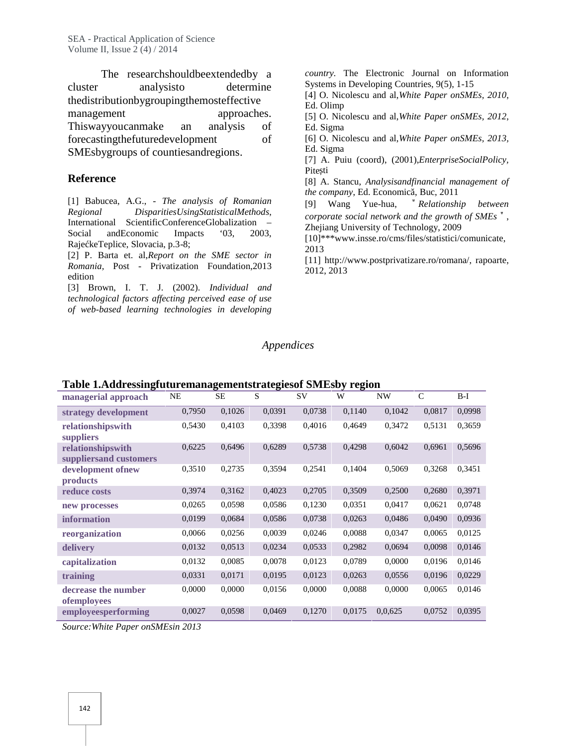The researchshouldbeextendedby a cluster analysisto determine thedistributionbygroupingthemosteffective management approaches. Thiswayyoucanmake an analysis of forecastingthefuturedevelopment of SMEsbygroups of countiesandregions.

#### **Reference**

[1] Babucea, A.G., - *The analysis of Romanian Regional DisparitiesUsingStatisticalMethods*, International ScientificConferenceGlobalization – Social and Economic Impacts '03, 2003, Raje keTeplice, Slovacia, p.3-8;

[2] P. Barta et. al,*Report on the SME sector in Romania,* Post - Privatization Foundation,2013 edition

[3] Brown, I. T. J. (2002). *Individual and technological factors affecting perceived ease of use of web-based learning technologies in developing*

*country.* The Electronic Journal on Information Systems in Developing Countries, 9(5), 1-15

- [4] O. Nicolescu and al,*White Paper onSMEs, 2010*, Ed. Olimp
- [5] O. Nicolescu and al,*White Paper onSMEs, 2012*, Ed. Sigma
- [6] O. Nicolescu and al,*White Paper onSMEs, 2013,* Ed. Sigma
- [7] A. Puiu (coord), (2001),*EnterpriseSocialPolicy,* Pite ti
- [8] A. Stancu, *Analysisandfinancial management of the company*, Ed. Economic, Buc, 2011

[9] Wang Yue-hua, "*Relationship between corporate social network and the growth of SMEs*", Zhejiang University of Technology, 2009

[10]\*\*\*www.insse.ro/cms/files/statistici/comunicate, 2013

[11] http://www.postprivatizare.ro/romana/, rapoarte, 2012, 2013

#### *Appendices*

| Table Taxuul essingrutul emanagementsu ategiesof DMLSD y Tegion<br>managerial approach | NE     | SЕ     | S      | <b>SV</b> | W      | NW      | $\mathsf{C}$ | $B-I$  |
|----------------------------------------------------------------------------------------|--------|--------|--------|-----------|--------|---------|--------------|--------|
| strategy development                                                                   | 0,7950 | 0,1026 | 0,0391 | 0,0738    | 0,1140 | 0,1042  | 0,0817       | 0,0998 |
| relationshipswith<br>suppliers                                                         | 0,5430 | 0,4103 | 0.3398 | 0,4016    | 0,4649 | 0,3472  | 0.5131       | 0,3659 |
| relationshipswith<br>suppliers and customers                                           | 0,6225 | 0,6496 | 0,6289 | 0,5738    | 0,4298 | 0,6042  | 0,6961       | 0,5696 |
| development ofnew<br><i>products</i>                                                   | 0,3510 | 0,2735 | 0,3594 | 0,2541    | 0,1404 | 0,5069  | 0,3268       | 0,3451 |
| reduce costs                                                                           | 0,3974 | 0,3162 | 0,4023 | 0,2705    | 0,3509 | 0,2500  | 0,2680       | 0,3971 |
| new processes                                                                          | 0,0265 | 0,0598 | 0,0586 | 0,1230    | 0,0351 | 0,0417  | 0,0621       | 0,0748 |
| information                                                                            | 0,0199 | 0,0684 | 0,0586 | 0,0738    | 0,0263 | 0,0486  | 0,0490       | 0,0936 |
| reorganization                                                                         | 0,0066 | 0,0256 | 0,0039 | 0,0246    | 0,0088 | 0,0347  | 0,0065       | 0,0125 |
| delivery                                                                               | 0,0132 | 0,0513 | 0,0234 | 0,0533    | 0,2982 | 0,0694  | 0,0098       | 0,0146 |
| capitalization                                                                         | 0,0132 | 0,0085 | 0,0078 | 0,0123    | 0,0789 | 0,0000  | 0,0196       | 0,0146 |
| training                                                                               | 0,0331 | 0,0171 | 0,0195 | 0,0123    | 0,0263 | 0,0556  | 0,0196       | 0,0229 |
| decrease the number<br><i>ofemployees</i>                                              | 0,0000 | 0,0000 | 0,0156 | 0,0000    | 0,0088 | 0,0000  | 0,0065       | 0,0146 |
| employeesperforming                                                                    | 0,0027 | 0,0598 | 0,0469 | 0,1270    | 0,0175 | 0,0,625 | 0,0752       | 0,0395 |

#### **Table 1.Addressingfuturemanagementstrategiesof SMEsby region**

*Source:White Paper onSMEsin 2013*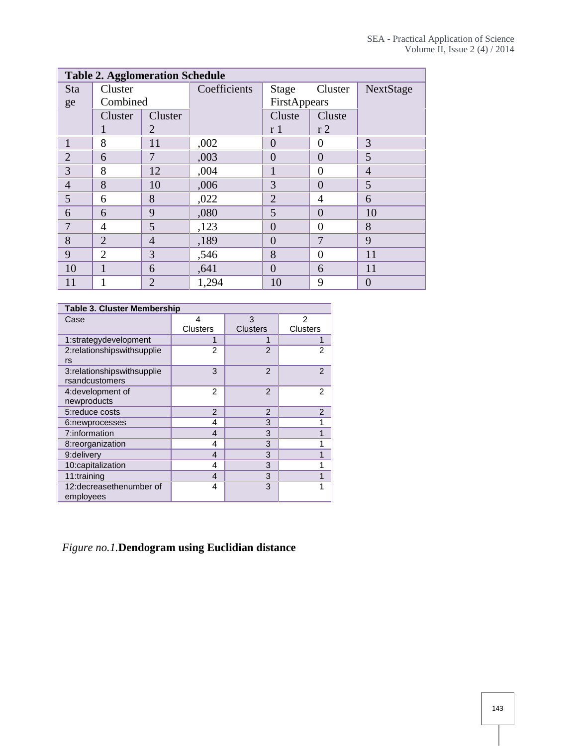| <b>Table 2. Agglomeration Schedule</b> |                |                |              |                |                |                |  |
|----------------------------------------|----------------|----------------|--------------|----------------|----------------|----------------|--|
| <b>Sta</b>                             | Cluster        |                | Coefficients | Stage          | Cluster        | NextStage      |  |
| ge                                     | Combined       |                |              | FirstAppears   |                |                |  |
|                                        | Cluster        | Cluster        |              | Cluste         | Cluste         |                |  |
|                                        | 1              | 2              |              | r <sub>1</sub> | r <sub>2</sub> |                |  |
|                                        | 8              | 11             | ,002         | $\Omega$       | $\overline{0}$ | 3              |  |
| $\overline{2}$                         | 6              | 7              | ,003         | $\overline{0}$ | $\overline{0}$ | 5              |  |
| 3                                      | 8              | 12             | ,004         |                | $\overline{0}$ | $\overline{4}$ |  |
| $\overline{4}$                         | 8              | 10             | ,006         | 3              | $\overline{0}$ | 5              |  |
| 5                                      | 6              | 8              | ,022         | $\overline{2}$ | $\overline{4}$ | 6              |  |
| 6                                      | 6              | 9              | ,080         | 5              | $\overline{0}$ | 10             |  |
| 7                                      | $\overline{4}$ | 5              | ,123         | $\overline{0}$ | $\overline{0}$ | 8              |  |
| 8                                      | $\overline{2}$ | $\overline{4}$ | ,189         | $\overline{0}$ | 7              | 9              |  |
| 9                                      | $\overline{2}$ | 3              | ,546         | 8              | $\theta$       | 11             |  |
| 10                                     | 1              | 6              | ,641         | $\overline{0}$ | 6              | 11             |  |
| 11                                     |                | $\overline{2}$ | 1,294        | 10             | 9              | $\theta$       |  |

| <b>Table 3. Cluster Membership</b>           |                 |                 |                 |  |  |  |  |
|----------------------------------------------|-----------------|-----------------|-----------------|--|--|--|--|
| Case                                         | 4               | 3               | 2               |  |  |  |  |
|                                              | <b>Clusters</b> | <b>Clusters</b> | <b>Clusters</b> |  |  |  |  |
| 1:strategydevelopment                        |                 |                 |                 |  |  |  |  |
| 2:relationshipswithsupplie<br>rs             | $\overline{2}$  | $\overline{2}$  | $\overline{c}$  |  |  |  |  |
| 3:relationshipswithsupplie<br>rsandcustomers | 3               | 2               | $\overline{2}$  |  |  |  |  |
| 4: development of<br>newproducts             | 2               | $\mathfrak{p}$  | 2               |  |  |  |  |
| 5: reduce costs                              | $\mathfrak{p}$  | $\mathfrak{p}$  | $\overline{2}$  |  |  |  |  |
| 6:newprocesses                               | 4               | 3               | 1               |  |  |  |  |
| 7:information                                | 4               | 3               | 1               |  |  |  |  |
| 8:reorganization                             | 4               | 3               | 1               |  |  |  |  |
| 9:delivery                                   | 4               | 3               | 1               |  |  |  |  |
| 10:capitalization                            | 4               | 3               | 1               |  |  |  |  |
| 11:training                                  | 4               | 3               | 1               |  |  |  |  |
| 12: decrease then umber of<br>employees      | 4               | 3               | 1               |  |  |  |  |

# *Figure no.1.***Dendogram using Euclidian distance**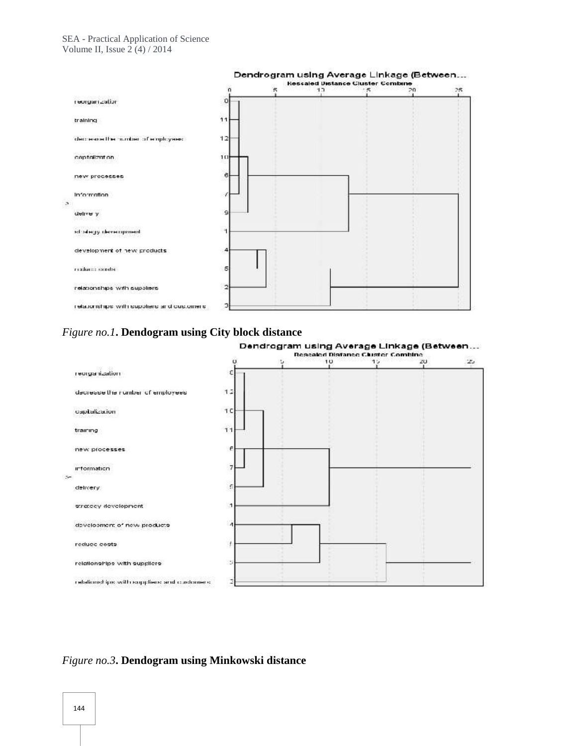

## *Figure no.1***. Dendogram using City block distance**



Dendrogram using Average Linkage (Between...

## *Figure no.3***. Dendogram using Minkowski distance**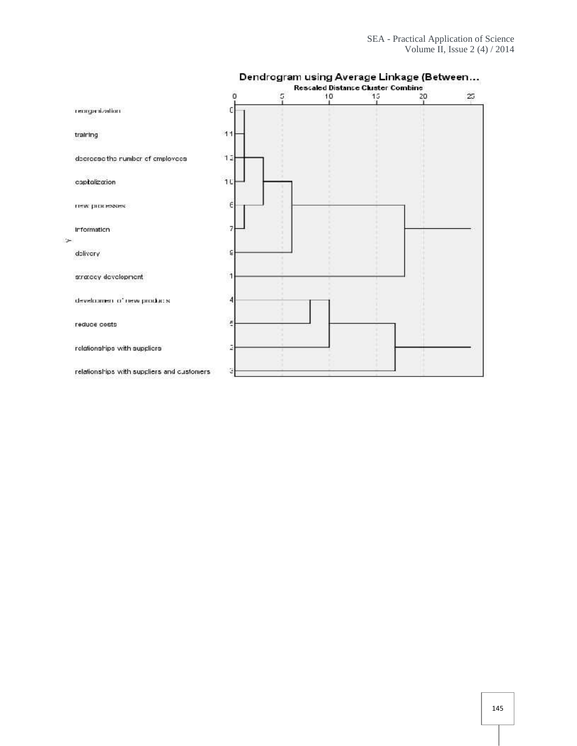|                                            | о  | 5       | 10 | 15 | 20 | 25 |
|--------------------------------------------|----|---------|----|----|----|----|
| noites in egros i                          |    |         |    |    |    |    |
| training                                   | 11 |         |    |    |    |    |
| decrease the number of employees           | 12 |         |    |    |    |    |
| capitalization                             | 10 | ٠       |    |    |    |    |
| нем риневжек.                              | E  | ٠<br>×. |    |    |    |    |
| Information<br>العنا                       | 7  |         |    |    |    |    |
| delivery                                   | g  |         |    |    |    |    |
| stratecy development                       | 1  |         |    |    |    |    |
| development of new products.               | 4  |         |    |    |    |    |
| reduce costs                               | E  |         |    |    |    |    |
| relationships with suppliers               | ã  |         |    |    |    |    |
| relationships with suppliers and customers | з  |         |    |    |    |    |

# Dendrogram using Average Linkage (Between...<br>Rescaled Distance Cluster Combine